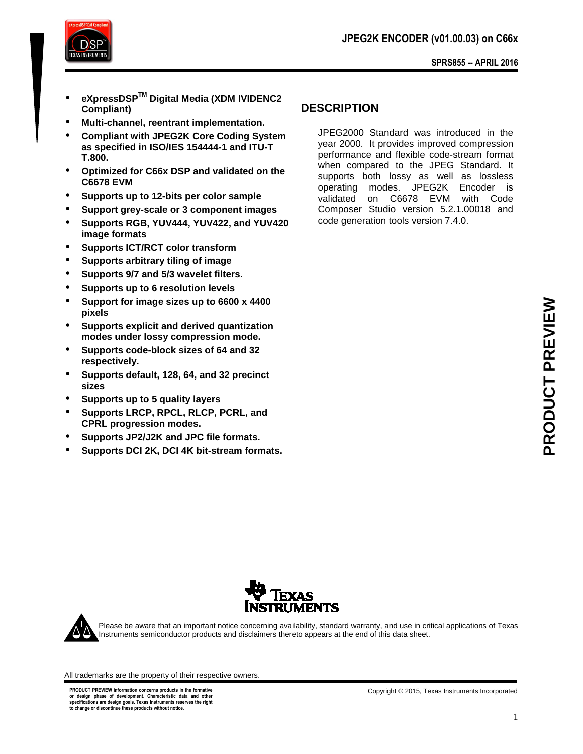

- **eXpressDSPTM Digital Media (XDM IVIDENC2 Compliant)**
- **Multi-channel, reentrant implementation.**
- **Compliant with JPEG2K Core Coding System as specified in ISO/IES 154444-1 and ITU-T T.800.**
- **Optimized for C66x DSP and validated on the C6678 EVM**
- **Supports up to 12-bits per color sample**
- **Support grey-scale or 3 component images**
- **Supports RGB, YUV444, YUV422, and YUV420 image formats**
- **Supports ICT/RCT color transform**
- **Supports arbitrary tiling of image**
- **Supports 9/7 and 5/3 wavelet filters.**
- **Supports up to 6 resolution levels**
- **Support for image sizes up to 6600 x 4400 pixels**
- **Supports explicit and derived quantization modes under lossy compression mode.**
- **Supports code-block sizes of 64 and 32 respectively.**
- **Supports default, 128, 64, and 32 precinct sizes**
- **Supports up to 5 quality layers**
- **Supports LRCP, RPCL, RLCP, PCRL, and CPRL progression modes.**
- **Supports JP2/J2K and JPC file formats.**
- **Supports DCI 2K, DCI 4K bit-stream formats.**

# **DESCRIPTION**

JPEG2000 Standard was introduced in the year 2000. It provides improved compression performance and flexible code-stream format when compared to the JPEG Standard. It supports both lossy as well as lossless operating modes. JPEG2K Encoder is validated on C6678 EVM with Code Composer Studio version 5.2.1.00018 and code generation tools version 7.4.0.





Please be aware that an important notice concerning availability, standard warranty, and use in critical applications of Texas Instruments semiconductor products and disclaimers thereto appears at the end of this data sheet.

All trademarks are the property of their respective owners.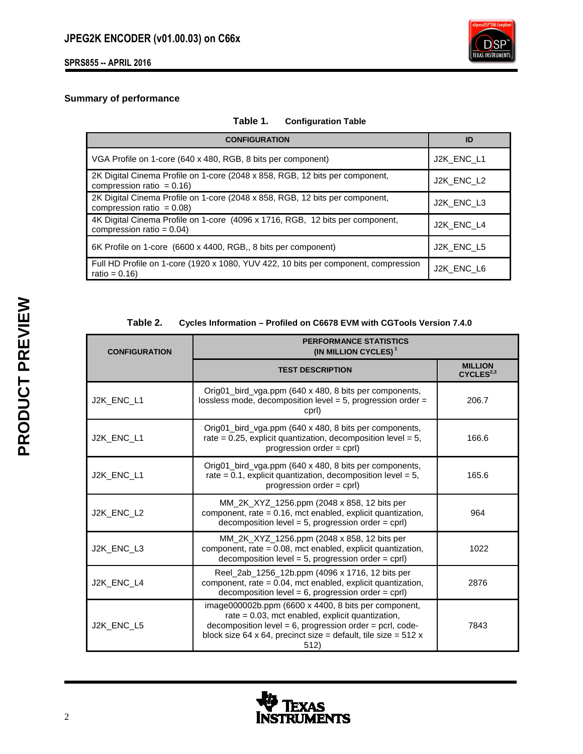

## **Summary of performance**

# **Table 1. Configuration Table**

| <b>CONFIGURATION</b>                                                                                          | ID         |
|---------------------------------------------------------------------------------------------------------------|------------|
| VGA Profile on 1-core (640 x 480, RGB, 8 bits per component)                                                  | J2K ENC L1 |
| 2K Digital Cinema Profile on 1-core (2048 x 858, RGB, 12 bits per component,<br>compression ratio = $0.16$ )  | J2K ENC L2 |
| 2K Digital Cinema Profile on 1-core (2048 x 858, RGB, 12 bits per component,<br>compression ratio = $0.08$ )  | J2K ENC L3 |
| 4K Digital Cinema Profile on 1-core (4096 x 1716, RGB, 12 bits per component,<br>compression ratio = $0.04$ ) | J2K ENC L4 |
| 6K Profile on 1-core (6600 x 4400, RGB,, 8 bits per component)                                                | J2K ENC L5 |
| Full HD Profile on 1-core (1920 x 1080, YUV 422, 10 bits per component, compression<br>ratio = $0.16$ )       | J2K ENC L6 |

### **Table 2. Cycles Information – Profiled on C6678 EVM with CGTools Version 7.4.0**

| <b>CONFIGURATION</b> | <b>PERFORMANCE STATISTICS</b><br>(IN MILLION CYCLES) <sup>1</sup>                                                                                                                                                                                      |                                         |  |
|----------------------|--------------------------------------------------------------------------------------------------------------------------------------------------------------------------------------------------------------------------------------------------------|-----------------------------------------|--|
|                      | <b>TEST DESCRIPTION</b>                                                                                                                                                                                                                                | <b>MILLION</b><br>CYCLES <sup>2,3</sup> |  |
| J2K ENC L1           | Orig01_bird_vga.ppm (640 x 480, 8 bits per components,<br>lossless mode, decomposition level = 5, progression order =<br>cprl)                                                                                                                         | 206.7                                   |  |
| J2K_ENC_L1           | Orig01_bird_vga.ppm (640 x 480, 8 bits per components,<br>rate = $0.25$ , explicit quantization, decomposition level = $5$ ,<br>progression order $=$ cprl)                                                                                            | 166.6                                   |  |
| J2K_ENC_L1           | Orig01_bird_vga.ppm (640 x 480, 8 bits per components,<br>rate = $0.1$ , explicit quantization, decomposition level = $5$ ,<br>progression order = cprl)                                                                                               | 165.6                                   |  |
| J2K_ENC_L2           | MM_2K_XYZ_1256.ppm (2048 x 858, 12 bits per<br>component, rate = $0.16$ , mct enabled, explicit quantization,<br>decomposition level = 5, progression order = $cprl$ )                                                                                 | 964                                     |  |
| J2K_ENC_L3           | MM_2K_XYZ_1256.ppm (2048 x 858, 12 bits per<br>component, rate $= 0.08$ , mct enabled, explicit quantization,<br>decomposition level = $5$ , progression order = cprl)                                                                                 | 1022                                    |  |
| J2K ENC L4           | Reel_2ab_1256_12b.ppm (4096 x 1716, 12 bits per<br>component, rate $= 0.04$ , mct enabled, explicit quantization,<br>decomposition level = $6$ , progression order = cprl)                                                                             | 2876                                    |  |
| J2K_ENC_L5           | image000002b.ppm (6600 x 4400, 8 bits per component,<br>rate $= 0.03$ , mct enabled, explicit quantization,<br>decomposition level = $6$ , progression order = pcrl, code-<br>block size 64 x 64, precinct size = default, tile size = $512 x$<br>512) | 7843                                    |  |

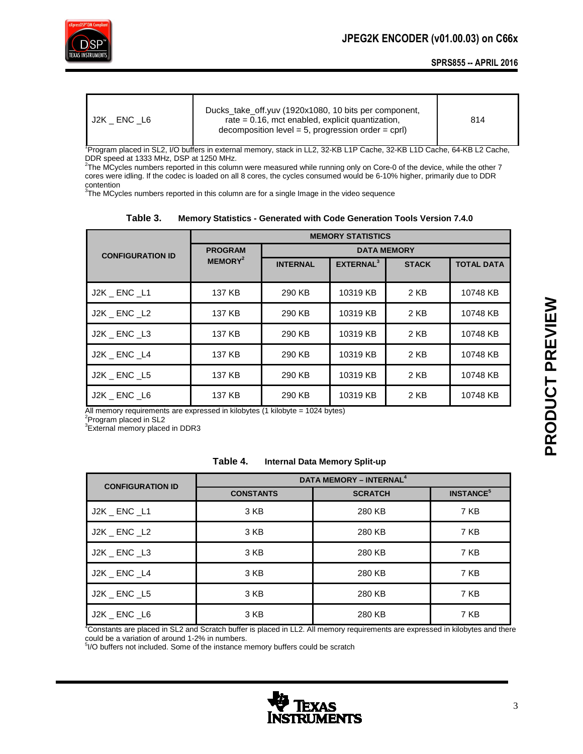

| J2K ENC L6 | Ducks take off.yuv (1920x1080, 10 bits per component,<br>rate $= 0.16$ , mct enabled, explicit quantization,<br>decomposition level = 5, progression order = cprl) | 814 |
|------------|--------------------------------------------------------------------------------------------------------------------------------------------------------------------|-----|
|------------|--------------------------------------------------------------------------------------------------------------------------------------------------------------------|-----|

<sup>1</sup>Program placed in SL2, I/O buffers in external memory, stack in LL2, 32-KB L1P Cache, 32-KB L1D Cache, 64-KB L2 Cache, DDR speed at 1333 MHz, DSP at 1250 MHz.

2 The MCycles numbers reported in this column were measured while running only on Core-0 of the device, while the other 7 cores were idling. If the codec is loaded on all 8 cores, the cycles consumed would be 6-10% higher, primarily due to DDR contention

 $3$ The MCycles numbers reported in this column are for a single Image in the video sequence

|                         | <b>MEMORY STATISTICS</b> |                    |                       |              |                   |
|-------------------------|--------------------------|--------------------|-----------------------|--------------|-------------------|
| <b>CONFIGURATION ID</b> | <b>PROGRAM</b>           | <b>DATA MEMORY</b> |                       |              |                   |
|                         | MEMORY <sup>2</sup>      | <b>INTERNAL</b>    | EXTERNAL <sup>3</sup> | <b>STACK</b> | <b>TOTAL DATA</b> |
|                         |                          |                    |                       |              |                   |
| J2K _ ENC _L1           | 137 KB                   | 290 KB             | 10319 KB              | 2 KB         | 10748 KB          |
| J2K ENC L2              | 137 KB                   | 290 KB             | 10319 KB              | 2 KB         | 10748 KB          |
| J2K ENC L3              | 137 KB                   | 290 KB             | 10319 KB              | 2 KB         | 10748 KB          |
| J2K ENC L4              | 137 KB                   | 290 KB             | 10319 KB              | 2 KB         | 10748 KB          |
| J2K ENC L5              | 137 KB                   | 290 KB             | 10319 KB              | 2 KB         | 10748 KB          |
| J2K ENC L6              | 137 KB                   | 290 KB             | 10319 KB              | 2 KB         | 10748 KB          |

## **Table 3. Memory Statistics - Generated with Code Generation Tools Version 7.4.0**

All memory requirements are expressed in kilobytes (1 kilobyte = 1024 bytes)<br><sup>2</sup>Program placed in SL2

<sup>3</sup>External memory placed in DDR3

#### **Table 4. Internal Data Memory Split-up**

| <b>CONFIGURATION ID</b> | DATA MEMORY - INTERNAL <sup>4</sup> |                |                             |  |
|-------------------------|-------------------------------------|----------------|-----------------------------|--|
|                         | <b>CONSTANTS</b>                    | <b>SCRATCH</b> | <b>INSTANCE<sup>5</sup></b> |  |
| J2K _ ENC _L1           | 3 KB                                | 280 KB         | 7 KB                        |  |
| J2K ENC L2              | 3 KB                                | 280 KB         | 7 KB                        |  |
| $J2K$ $\_$ $ENC$ $\_L3$ | 3 KB                                | 280 KB         | 7 KB                        |  |
| J2K ENC L4              | 3 KB                                | 280 KB         | 7 KB                        |  |
| J2K ENC L5              | 3 KB                                | 280 KB         | 7 KB                        |  |
| J2K ENC L6              | 3 KB                                | 280 KB         | 7 KB                        |  |

<sup>4</sup>Constants are placed in SL2 and Scratch buffer is placed in LL2. All memory requirements are expressed in kilobytes and there

could be a variation of around 1-2% in numbers.<br><sup>5</sup>I/O buffers not included. Some of the instance memory buffers could be scratch

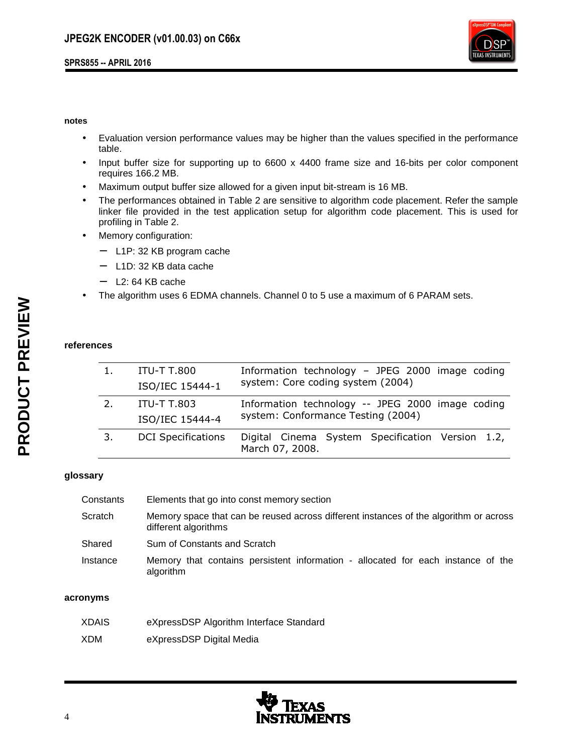

#### **notes**

- Evaluation version performance values may be higher than the values specified in the performance table.
- Input buffer size for supporting up to 6600 x 4400 frame size and 16-bits per color component requires 166.2 MB.
- Maximum output buffer size allowed for a given input bit-stream is 16 MB.
- The performances obtained in Table 2 are sensitive to algorithm code placement. Refer the sample linker file provided in the test application setup for algorithm code placement. This is used for profiling in Table 2.
- Memory configuration:
	- − L1P: 32 KB program cache
	- − L1D: 32 KB data cache
	- − L2: 64 KB cache
- The algorithm uses 6 EDMA channels. Channel 0 to 5 use a maximum of 6 PARAM sets.

### **references**

|    | <b>ITU-T T.800</b>        | Information technology - JPEG 2000 image coding                                        |  |  |
|----|---------------------------|----------------------------------------------------------------------------------------|--|--|
|    | ISO/IEC 15444-1           | system: Core coding system (2004)                                                      |  |  |
| 2. | ITU-T T.803               | Information technology -- JPEG 2000 image coding<br>system: Conformance Testing (2004) |  |  |
|    | ISO/IEC 15444-4           |                                                                                        |  |  |
| 3. | <b>DCI</b> Specifications | Digital Cinema System Specification Version 1.2,<br>March 07, 2008.                    |  |  |

## **glossary**

| Constants | Elements that go into const memory section                                                                    |
|-----------|---------------------------------------------------------------------------------------------------------------|
| Scratch   | Memory space that can be reused across different instances of the algorithm or across<br>different algorithms |
| Shared    | Sum of Constants and Scratch                                                                                  |
| Instance  | Memory that contains persistent information - allocated for each instance of the<br>algorithm                 |

#### **acronyms**

| <b>XDAIS</b> | eXpressDSP Algorithm Interface Standard |
|--------------|-----------------------------------------|
| XDM          | eXpressDSP Digital Media                |

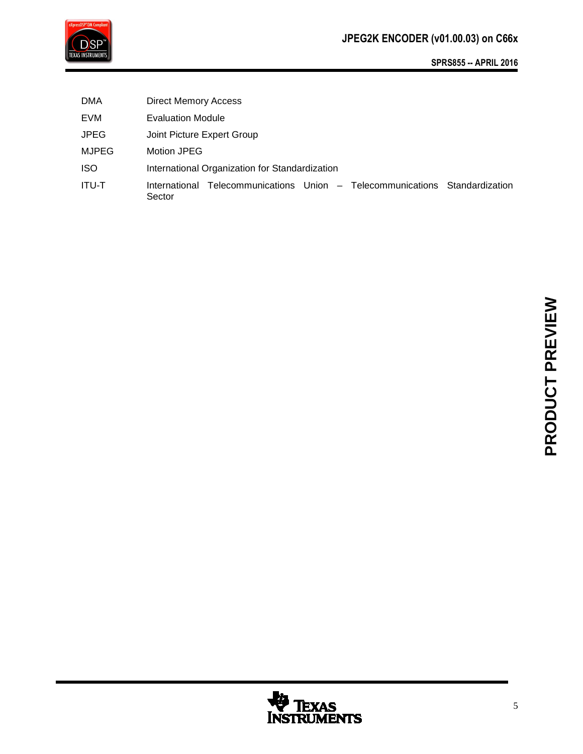

DMA Direct Memory Access EVM Evaluation Module JPEG Joint Picture Expert Group MJPEG Motion JPEG ISO International Organization for Standardization ITU-T International Telecommunications Union – Telecommunications Standardization Sector